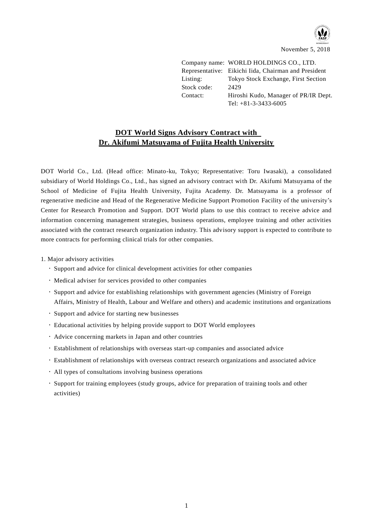

Company name: WORLD HOLDINGS CO., LTD. Representative: Eikichi Iida, Chairman and President Listing: Tokyo Stock Exchange, First Section Stock code: 2429 Contact: Hiroshi Kudo, Manager of PR/IR Dept. Tel: +81-3-3433-6005

## **DOT World Signs Advisory Contract with Dr. Akifumi Matsuyama of Fujita Health University**

DOT World Co., Ltd. (Head office: Minato-ku, Tokyo; Representative: Toru Iwasaki), a consolidated subsidiary of World Holdings Co., Ltd., has signed an advisory contract with Dr. Akifumi Matsuyama of the School of Medicine of Fujita Health University, Fujita Academy. Dr. Matsuyama is a professor of regenerative medicine and Head of the Regenerative Medicine Support Promotion Facility of the university's Center for Research Promotion and Support. DOT World plans to use this contract to receive advice and information concerning management strategies, business operations, employee training and other activities associated with the contract research organization industry. This advisory support is expected to contribute to more contracts for performing clinical trials for other companies.

- 1. Major advisory activities
	- Support and advice for clinical development activities for other companies
	- Medical adviser for services provided to other companies
	- Support and advice for establishing relationships with government agencies (Ministry of Foreign Affairs, Ministry of Health, Labour and Welfare and others) and academic institutions and organizations
	- Support and advice for starting new businesses
	- Educational activities by helping provide support to DOT World employees
	- Advice concerning markets in Japan and other countries
	- Establishment of relationships with overseas start-up companies and associated advice
	- Establishment of relationships with overseas contract research organizations and associated advice
	- All types of consultations involving business operations
	- Support for training employees (study groups, advice for preparation of training tools and other activities)